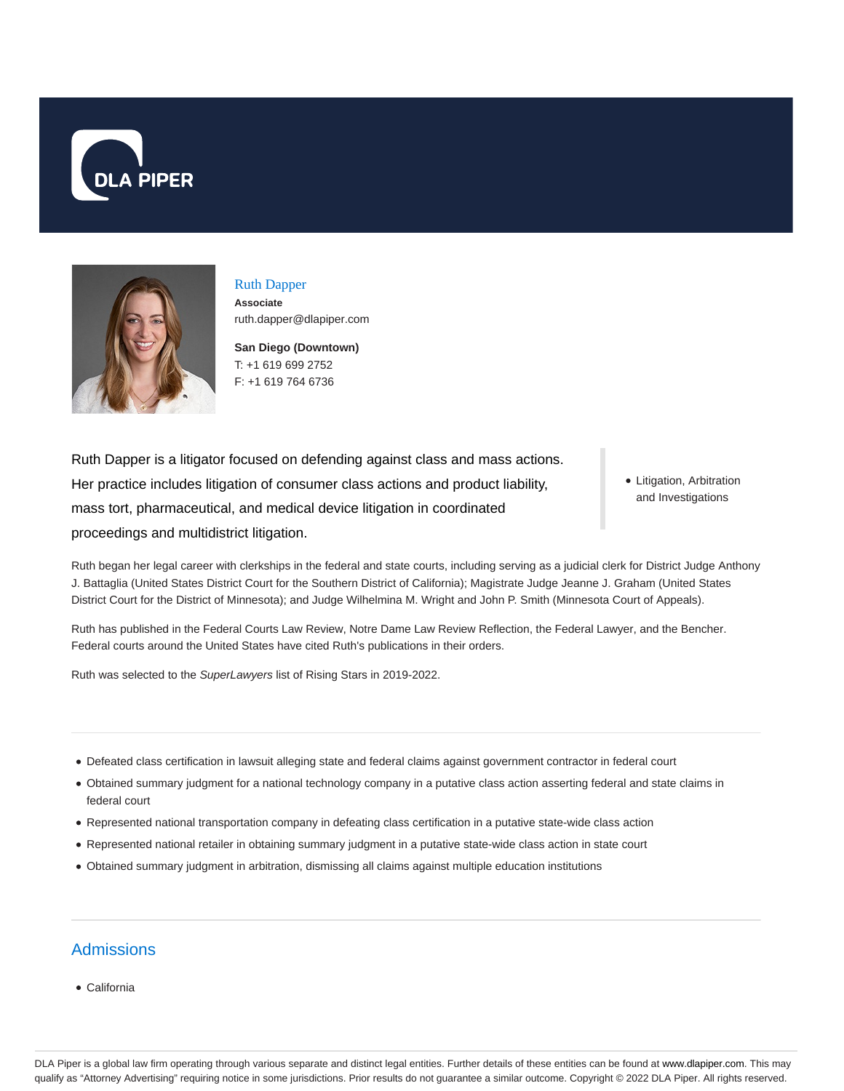



# Ruth Dapper **Associate**

ruth.dapper@dlapiper.com

**San Diego (Downtown)** T: +1 619 699 2752 F: +1 619 764 6736

Ruth Dapper is a litigator focused on defending against class and mass actions. Her practice includes litigation of consumer class actions and product liability, mass tort, pharmaceutical, and medical device litigation in coordinated proceedings and multidistrict litigation.

• Litigation, Arbitration and Investigations

Ruth began her legal career with clerkships in the federal and state courts, including serving as a judicial clerk for District Judge Anthony J. Battaglia (United States District Court for the Southern District of California); Magistrate Judge Jeanne J. Graham (United States District Court for the District of Minnesota); and Judge Wilhelmina M. Wright and John P. Smith (Minnesota Court of Appeals).

Ruth has published in the Federal Courts Law Review, Notre Dame Law Review Reflection, the Federal Lawyer, and the Bencher. Federal courts around the United States have cited Ruth's publications in their orders.

Ruth was selected to the SuperLawyers list of Rising Stars in 2019-2022.

- Defeated class certification in lawsuit alleging state and federal claims against government contractor in federal court
- Obtained summary judgment for a national technology company in a putative class action asserting federal and state claims in federal court
- Represented national transportation company in defeating class certification in a putative state-wide class action
- Represented national retailer in obtaining summary judgment in a putative state-wide class action in state court
- Obtained summary judgment in arbitration, dismissing all claims against multiple education institutions

## **Admissions**

California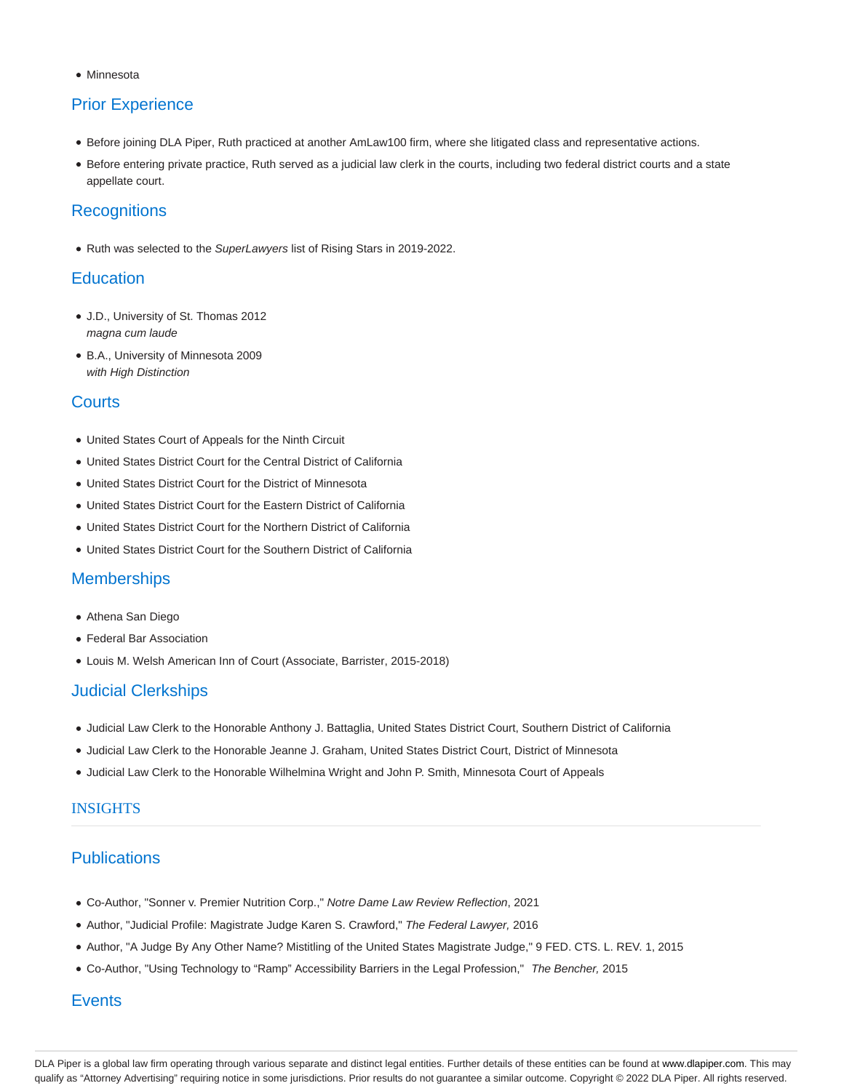**Minnesota** 

# Prior Experience

- Before joining DLA Piper, Ruth practiced at another AmLaw100 firm, where she litigated class and representative actions.
- Before entering private practice, Ruth served as a judicial law clerk in the courts, including two federal district courts and a state appellate court.

### **Recognitions**

Ruth was selected to the SuperLawyers list of Rising Stars in 2019-2022.

#### **Education**

- J.D., University of St. Thomas 2012 magna cum laude
- B.A., University of Minnesota 2009 with High Distinction

#### **Courts**

- United States Court of Appeals for the Ninth Circuit
- United States District Court for the Central District of California
- United States District Court for the District of Minnesota
- United States District Court for the Eastern District of California
- United States District Court for the Northern District of California
- United States District Court for the Southern District of California

#### **Memberships**

- Athena San Diego
- Federal Bar Association
- Louis M. Welsh American Inn of Court (Associate, Barrister, 2015-2018)

#### Judicial Clerkships

- Judicial Law Clerk to the Honorable Anthony J. Battaglia, United States District Court, Southern District of California
- Judicial Law Clerk to the Honorable Jeanne J. Graham, United States District Court, District of Minnesota
- Judicial Law Clerk to the Honorable Wilhelmina Wright and John P. Smith, Minnesota Court of Appeals

#### INSIGHTS

### **Publications**

- Co-Author, "Sonner v. Premier Nutrition Corp.," Notre Dame Law Review Reflection, 2021
- Author, "Judicial Profile: Magistrate Judge Karen S. Crawford," The Federal Lawyer, 2016
- Author, "A Judge By Any Other Name? Mistitling of the United States Magistrate Judge," 9 FED. CTS. L. REV. 1, 2015
- Co-Author, "Using Technology to "Ramp" Accessibility Barriers in the Legal Profession," The Bencher, 2015

#### **Events**

DLA Piper is a global law firm operating through various separate and distinct legal entities. Further details of these entities can be found at www.dlapiper.com. This may qualify as "Attorney Advertising" requiring notice in some jurisdictions. Prior results do not guarantee a similar outcome. Copyright © 2022 DLA Piper. All rights reserved.